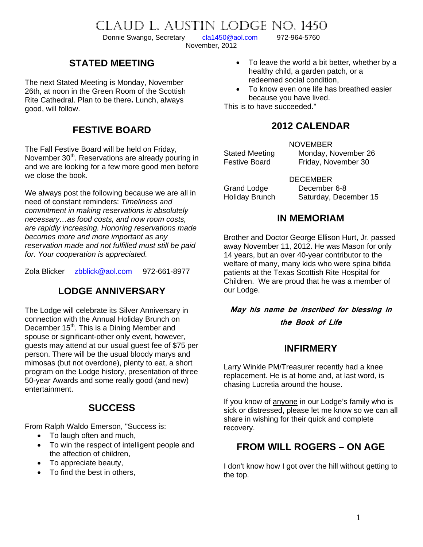# CLAUD L. AUSTIN LODGE NO. 1450<br>Donnie Swango, Secretary cla1450@aol.com 972-964-5760

Donnie Swango, Secretary [cla1450@aol.com](mailto:cla1450@aol.com) 972-964-5760

November, 2012

## **STATED MEETING**

The next Stated Meeting is Monday, November 26th, at noon in the Green Room of the Scottish Rite Cathedral. Plan to be there**.** Lunch, always good, will follow.

## **FESTIVE BOARD**

The Fall Festive Board will be held on Friday, November 30<sup>th</sup>. Reservations are already pouring in and we are looking for a few more good men before we close the book.

We always post the following because we are all in need of constant reminders: *Timeliness and commitment in making reservations is absolutely necessary…as food costs, and now room costs, are rapidly increasing. Honoring reservations made becomes more and more important as any reservation made and not fulfilled must still be paid for. Your cooperation is appreciated.* 

Zola Blicker [zbblick@aol.com](mailto:zbblick@aol.com) 972-661-8977

## **LODGE ANNIVERSARY**

The Lodge will celebrate its Silver Anniversary in connection with the Annual Holiday Brunch on December 15<sup>th</sup>. This is a Dining Member and spouse or significant-other only event, however, guests may attend at our usual guest fee of \$75 per person. There will be the usual bloody marys and mimosas (but not overdone), plenty to eat, a short program on the Lodge history, presentation of three 50-year Awards and some really good (and new) entertainment.

## **SUCCESS**

From Ralph Waldo Emerson, "Success is:

- To laugh often and much,
- To win the respect of intelligent people and the affection of children,
- To appreciate beauty,
- To find the best in others,
- To leave the world a bit better, whether by a healthy child, a garden patch, or a redeemed social condition,
- To know even one life has breathed easier because you have lived.

This is to have succeeded."

## **2012 CALENDAR**

NOVEMBER Stated Meeting Monday, November 26

Festive Board Friday, November 30

DECEMBER Grand Lodge December 6-8 Holiday Brunch Saturday, December 15

## **IN MEMORIAM**

Brother and Doctor George Ellison Hurt, Jr. passed away November 11, 2012. He was Mason for only 14 years, but an over 40-year contributor to the welfare of many, many kids who were spina bifida patients at the Texas Scottish Rite Hospital for Children. We are proud that he was a member of our Lodge.

**May his name be inscribed for blessing in the Book of Life** 

## **INFIRMERY**

Larry Winkle PM/Treasurer recently had a knee replacement. He is at home and, at last word, is chasing Lucretia around the house.

If you know of anyone in our Lodge's family who is sick or distressed, please let me know so we can all share in wishing for their quick and complete recovery.

## **FROM WILL ROGERS – ON AGE**

I don't know how I got over the hill without getting to the top.